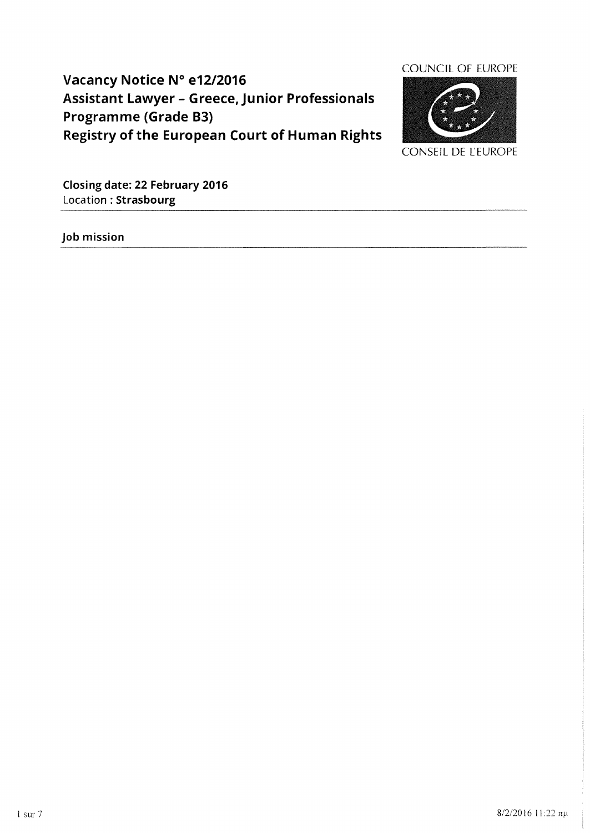# **Vacancy Notice N° e12/2016 Assistant Lawyer - Greece, Junior Professionals Programme (Grade 83) Registry of the European Court of Human Rights**



**Closing date: 22 February 2016**  Location: **Strasbourg** 

**Job mission**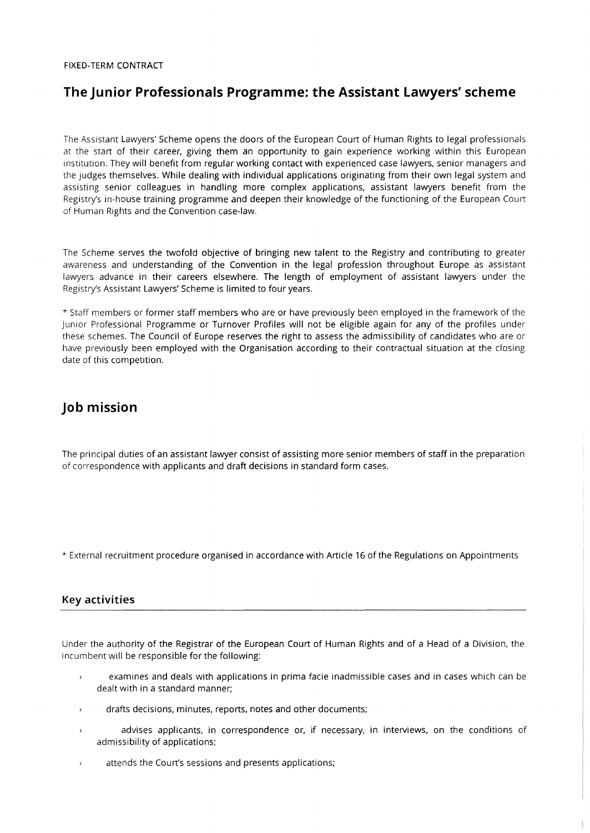#### FIXED-TERM **CONTRACT**

## **The Junior Professionals Programme: the Assistant Lawyers' scheme**

The Assistant Lawyers' Scheme opens the doors of the European Court of Human Rights to legal professionals at the start of their career, giving them an opportunity to gain experience working within this European institution. They will benefit from regular working contact with experienced case lawyers, senior managers and the judges themselves. While dealing with individual applications originating from their own legal system and assisting senior cOlleagues in handling more complex applications, assistant lawyers benefit from the Registry's in-house training programme and deepen their knowledge of the functioning of the European Court of Human Rights and the Convention case-law.

The Scheme serves the twofold objective of bringing new talent to the Registry and contributing to greater awareness and understanding of the Convention in the legal profession throughout Europe as assistant lawyers advance in their careers elsewhere. The length of employment of assistant lawyers under the Registry's Assistant Lawyers' Scheme is limited to four years.

\* Staff members or former staff members who are or have previously been employed in the framework of the Junior Professional Programme or Turnover Profiles will not be eligible again for any of the profiles under these schemes. The Council of Europe reserves the right to assess the admissibility of candidates who are or have previously been employed with the Organisation according to their contractual situation at the closing date of this competition.

## **Job mission**

The principal duties of an assistant lawyer consist of assisting more senior members of staff in the preparation of correspondence with applicants and draft decisions in standard form cases.

\* External recruitment procedure organised in accordance with Article 16 of the Regulations on Appointments

## **Key activities**

Under the authority of the Registrar of the European Court of Human Rights and of a Head of a Division, the incumbent will be responsible for the following:

- examines and deals with applications in prima facie inadmissible cases and in cases which can be dealt with in a standard manner;
- drafts decisions, minutes, reports, notes and other documents;  $\overline{ }$
- advises applicants, in correspondence or, if necessary, in interviews, on the conditions of admissibility of applications;
- attends the Court's sessions and presents applications;  $\overline{\phantom{a}}$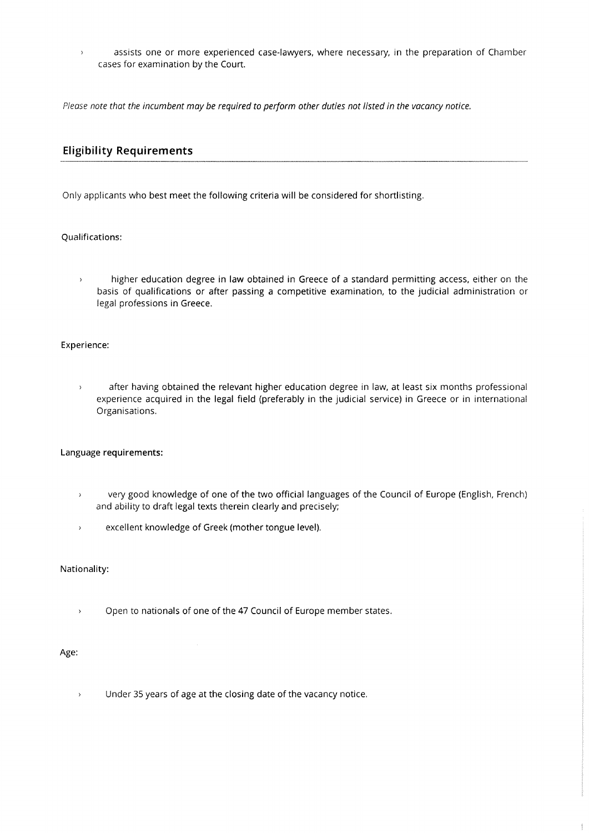assists one or more experienced case-lawyers, where necessary, in the preparation of Chamber  $\rightarrow$ cases for examination by the Court.

*Please note that the incumbent may be required to perform other duties not listed in the vacancy notice.* 

## **Eligibility Requirements**

Only applicants who best meet the following criteria will be considered for shortlisting.

### Qualifications:

higher education degree in law obtained in Greece of a standard permitting access, either on the  $\rightarrow$ basis of qualifications or after passing a competitive examination, to the judicial administration or legal professions in Greece.

#### Experience:

after having obtained the relevant higher education degree in law, at least six months professional  $\rightarrow$ experience acquired in the legal field (preferably in the judicial service) in Greece or in international Organisations.

### Language requirements:

- very good knowledge of one of the two official languages of the Council of Europe (English, French)  $\rightarrow$ and ability to draft legal texts therein clearly and precisely;
- $\mathbf{r}$ excellent knowledge of Greek (mother tongue level).

Nationality:

Open to nationals of one of the 47 Council of Europe member states.  $\bar{\mathbf{y}}$ 

#### Age:

Under 35 years of age at the closing date of the vacancy notice.  $\bar{\mathbf{y}}$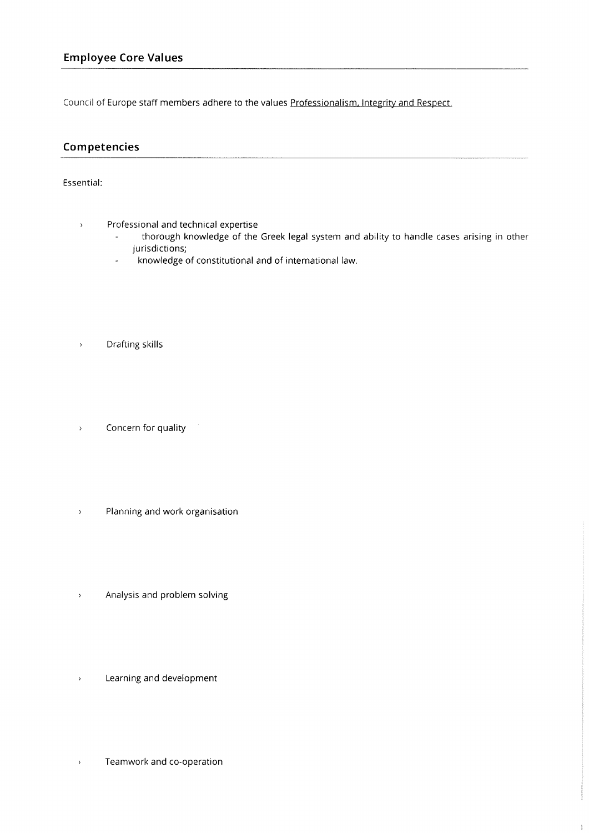Council of Europe staff members adhere to the values Professionalism. Integrity and Respect.

## **Competencies**

## Essential:

- Professional and technical expertise  $\rightarrow$ 
	- thorough knowledge of the Greek legal system and ability to handle cases arising in other jurisdictions;
	- knowledge of constitutional and of international law.  $\overline{a}$
- Drafting skills
- Concern for quality  $\bar{\mathcal{E}}$
- Planning and work organisation  $\bar{\rm{y}}$
- Analysis and problem solving  $\bar{\mathcal{E}}$
- $\bar{\lambda}$ Learning and development
- $\bar{\mathcal{E}}$ Teamwork and co-operation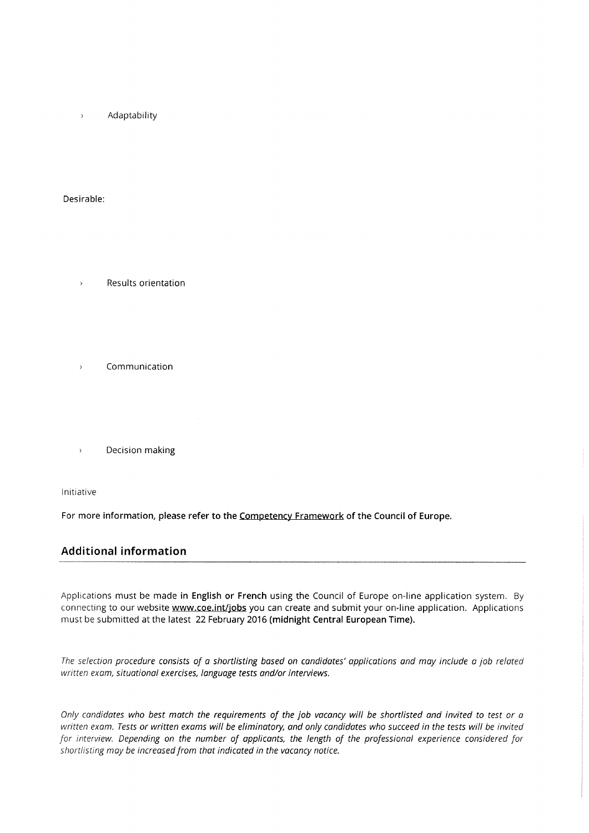Adaptability  $\overline{\phantom{a}}$ 

Desirable:

- Results orientation  $\overline{\phantom{a}}$
- Communication  $\overline{ }$
- 
- - Decision making  $\overline{\phantom{a}}$

Initiative

For more information, please refer to the Competency Framework of the Council of Europe.

## **Additional information**

Applications must be made in English or French using the Council of Europe on-line application system. By connecting to our website www.coe.int/jobs you can create and submit your on-line application. Applications must be submitted at the latest 22 February 2016 (midnight Central European Time).

*The selection procedure consists of a shortlisting based on candidates' applications and may include a job related written exam, situational exercises, language tests and/or interviews.* 

*Only candidates who best match the requirements of the job vacancy will be shortlisted and invited to test* or *a written exam. Tests* or *written exams will be eliminatory, and only candidates who succeed in the tests will be invited for interview. Depending on the number of applicants, the length of the professional experience considered for shortlisting may be increased from that indicated in the vacancy notice.*